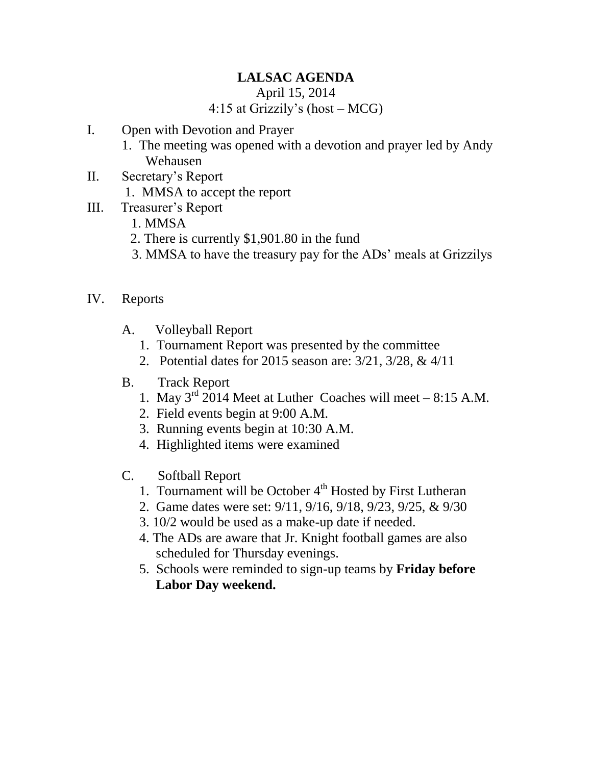## **LALSAC AGENDA**

April 15, 2014

## 4:15 at Grizzily's (host – MCG)

- I. Open with Devotion and Prayer
	- 1. The meeting was opened with a devotion and prayer led by Andy Wehausen
- II. Secretary's Report
	- 1. MMSA to accept the report
- III. Treasurer's Report
	- 1. MMSA
	- 2. There is currently \$1,901.80 in the fund
	- 3. MMSA to have the treasury pay for the ADs' meals at Grizzilys
- IV. Reports
	- A. Volleyball Report
		- 1. Tournament Report was presented by the committee
		- 2. Potential dates for 2015 season are: 3/21, 3/28, & 4/11
	- B. Track Report
		- 1. May  $3<sup>rd</sup>$  2014 Meet at Luther Coaches will meet 8:15 A.M.
		- 2. Field events begin at 9:00 A.M.
		- 3. Running events begin at 10:30 A.M.
		- 4. Highlighted items were examined
	- C. Softball Report
		- 1. Tournament will be October  $4<sup>th</sup>$  Hosted by First Lutheran
		- 2. Game dates were set: 9/11, 9/16, 9/18, 9/23, 9/25, & 9/30
		- 3. 10/2 would be used as a make-up date if needed.
		- 4. The ADs are aware that Jr. Knight football games are also scheduled for Thursday evenings.
		- 5. Schools were reminded to sign-up teams by **Friday before Labor Day weekend.**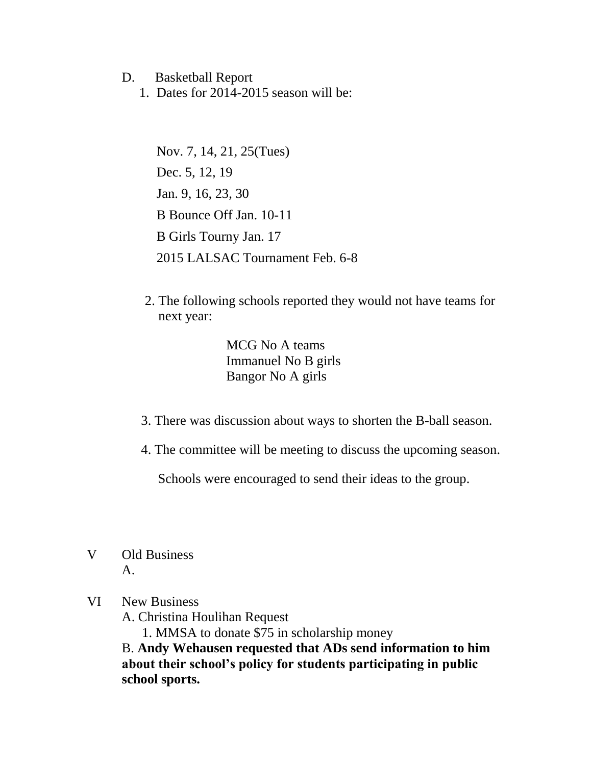## D. Basketball Report

1. Dates for 2014-2015 season will be:

Nov. 7, 14, 21, 25(Tues) Dec. 5, 12, 19 Jan. 9, 16, 23, 30 B Bounce Off Jan. 10-11 B Girls Tourny Jan. 17 2015 LALSAC Tournament Feb. 6-8

 2. The following schools reported they would not have teams for next year:

> MCG No A teams Immanuel No B girls Bangor No A girls

- 3. There was discussion about ways to shorten the B-ball season.
- 4. The committee will be meeting to discuss the upcoming season.

Schools were encouraged to send their ideas to the group.

V Old Business  $A<sub>1</sub>$ 

## VI New Business

A. Christina Houlihan Request

1. MMSA to donate \$75 in scholarship money

B. **Andy Wehausen requested that ADs send information to him about their school's policy for students participating in public school sports.**